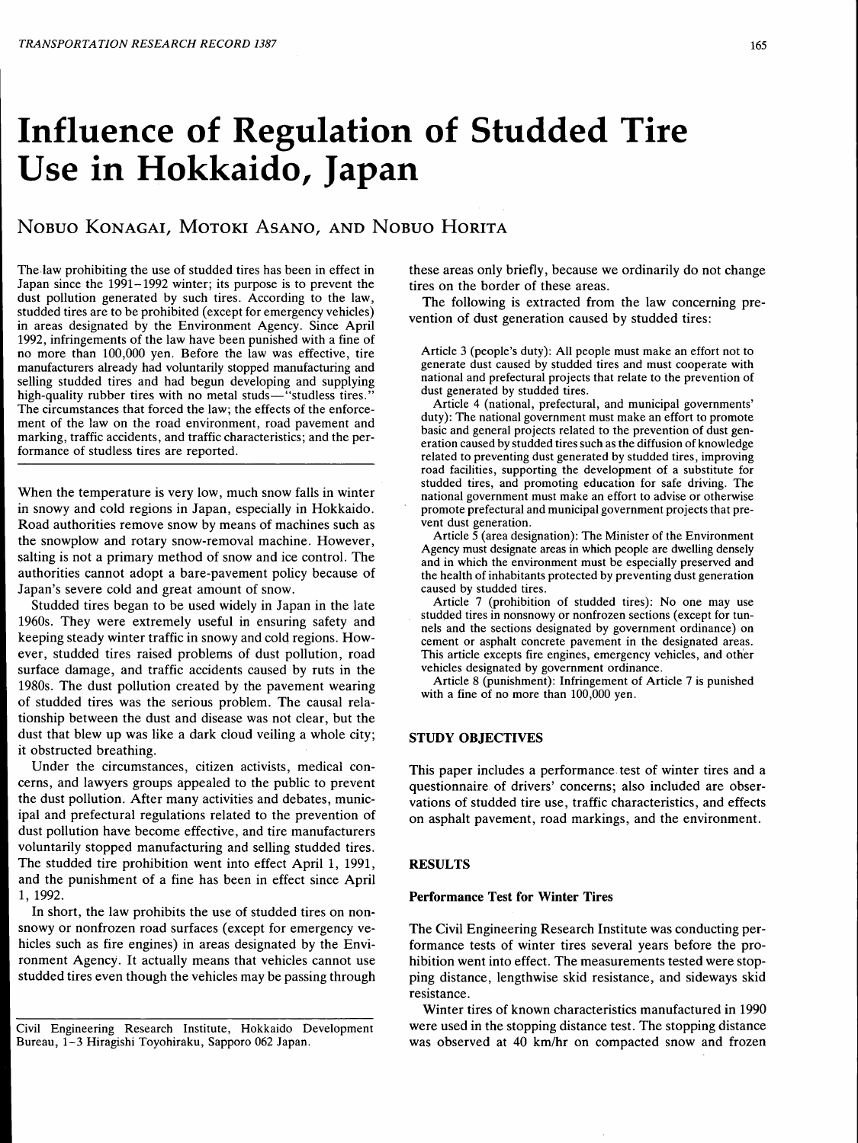# Influence of Regulation of Studded Tire Use in Hokkaido, Japan

# NoBuo KoNAGAI, MoTOKI ASANO, AND NoBuo HORITA

The law prohibiting the use of studded tires has been in effect in Japan since the 1991-1992 winter; its purpose is to prevent the dust pollution generated by such tires. According to the law, studded tires are to be prohibited (except for emergency vehicles) in areas designated by the Environment Agency. Since April 1992, infringements of the law have been punished with a fine of no more than 100,000 yen. Before the law was effective, tire manufacturers already had voluntarily stopped manufacturing and selling studded tires and had begun developing and supplying high-quality rubber tires with no metal studs—"studless tires." The circumstances that forced the law; the effects of the enforcement of the law on the road environment, road pavement and marking, traffic accidents, and traffic characteristics; and the performance of studless tires are reported.

When the temperature is very low, much snow falls in winter in snowy and cold regions in Japan, especially in Hokkaido. Road authorities remove snow by means of machines such as the snowplow and rotary snow-removal machine. However, salting is not a primary method of snow and ice control. The authorities cannot adopt a bare-pavement policy because of Japan's severe cold and great amount of snow.

Studded tires began to be used widely in Japan in the late 1960s. They were extremely useful in ensuring safety and keeping steady winter traffic in snowy and cold regions. However, studded tires raised problems of dust pollution, road surface damage, and traffic accidents caused by ruts in the 1980s. The dust pollution created by the pavement wearing of studded tires was the serious problem. The causal relationship between the dust and disease was not clear, but the dust that blew up was like a dark cloud veiling a whole city; it obstructed breathing.

Under the circumstances, citizen activists, medical concerns, and lawyers groups appealed to the public to prevent the dust pollution. After many activities and debates, municipal and prefectural regulations related to the prevention of dust pollution have become effective, and tire manufacturers voluntarily stopped manufacturing and selling studded tires. The studded tire prohibition went into effect April 1, 1991, and the punishment of a fine has been in effect since April 1, 1992.

In short, the law prohibits the use of studded tires on nonsnowy or nonfrozen road surfaces (except for emergency vehicles such as fire engines) in areas designated by the Environment Agency. It actually means that vehicles cannot use studded tires even though the vehicles may be passing through these areas only briefly, because we ordinarily do not change tires on the border of these areas.

The following is extracted from the law concerning prevention of dust generation caused by studded tires:

Article 3 (people's duty): All people must make an effort not to generate dust caused by studded tires and must cooperate with national and prefectural projects that relate to the prevention of dust generated by studded tires.

Article 4 (national, prefectural, and municipal governments' duty): The national government must make an effort to promote basic and general projects related to the prevention of dust generation caused by studded tires such as the diffusion of knowledge related to preventing dust generated by studded tires, improving road facilities, supporting the development of a substitute for studded tires, and promoting education for safe driving. The national government must make an effort to advise or otherwise promote prefectural and municipal government projects that prevent dust generation.

Article  $\overline{5}$  (area designation): The Minister of the Environment Agency must designate areas in which people are dwelling densely and in which the environment must be especially preserved and the health of inhabitants protected by preventing dust generation caused by studded tires.

Article 7 (prohibition of studded tires): No one may use studded tires in nonsnowy or nonfrozen sections (except for tun-<br>nels and the sections designated by government ordinance) on cement or asphalt concrete pavement in the designated areas. This article excepts fire engines, emergency vehicles, and other vehicles designated by government ordinance.

Article 8 (punishment): Infringement of Article 7 is punished with a fine of no more than 100,000 yen.

## STUDY OBJECTIVES

This paper includes a performance. test of winter tires and a questionnaire of drivers' concerns; also included are observations of studded tire use, traffic characteristics, and effects on asphalt pavement, road markings, and the environment.

## **RESULTS**

## Performance Test for Winter Tires

The Civil Engineering Research Institute was conducting performance tests of winter tires several years before the prohibition went into effect. The measurements tested were stopping distance, lengthwise skid resistance, and sideways skid resistance.

Winter tires of known characteristics manufactured in 1990 were used in the stopping distance test. The stopping distance was observed at 40 km/hr on compacted snow and frozen

Civil Engineering Research Institute, Hokkaido Development Bureau, 1-3 Hiragishi Toyohiraku, Sapporo 062 Japan.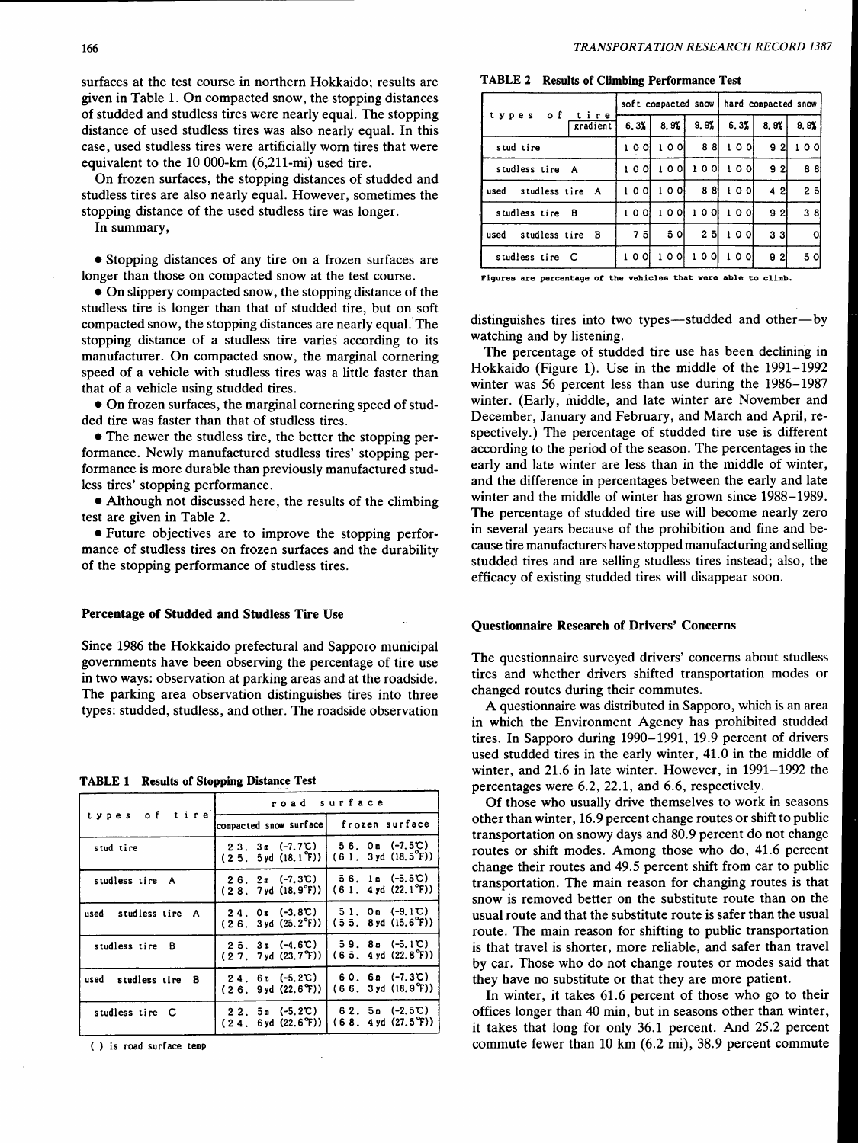surfaces at the test course in northern Hokkaido; results are given in Table 1. On compacted snow, the stopping distances of studded and studless tires were nearly equal. The stopping distance of used studless tires was also nearly equal. In this case, used studless tires were artificially worn tires that were equivalent to the 10 000-km (6,211-mi) used tire.

On frozen surfaces, the stopping distances of studded and studless tires are also nearly equal. However, sometimes the stopping distance of the used studless tire was longer.

In summary,

• Stopping distances of any tire on a frozen surfaces are longer than those on compacted snow at the test course.

• On slippery compacted snow, the stopping distance of the studless tire is longer than that of studded tire, but on soft compacted snow, the stopping distances are nearly equal. The stopping distance of a studless tire varies according to its manufacturer. On compacted snow, the marginal cornering speed of a vehicle with studless tires was a little faster than that of a vehicle using studded tires.

•On frozen surfaces, the marginal cornering speed of studded tire was faster than that of studless tires.

• The newer the studless tire, the better the stopping performance. Newly manufactured studless tires' stopping performance is more durable than previously manufactured studless tires' stopping performance.

•Although not discussed here, the results of the climbing test are given in Table 2.

• Future objectives are to improve the stopping performance of studless tires on frozen surfaces and the durability of the stopping performance of studless tires.

#### Percentage of Studded and Studless Tire Use

Since 1986 the Hokkaido prefectural and Sapporo municipal governments have been observing the percentage of tire use in two ways: observation at parking areas and at the roadside. The parking area observation distinguishes tires into three types: studded, studless, and other. The roadside observation

#### TABLE 1 Results of Stopping Distance Test

| types of tire           | road surface                                     |                                                                    |  |  |
|-------------------------|--------------------------------------------------|--------------------------------------------------------------------|--|--|
|                         | compacted snow surface                           | frozen surface                                                     |  |  |
| stud tire               | (25.5yd(18.1 <sup>o</sup> F))                    | $23.3m$ (-7.7°C)   56.0m (-7.5°C)<br>(61.3yd(18.5 <sup>o</sup> F)) |  |  |
| studless tire A         | $26.2m$ (-7.3°C)<br>$(2.8.7yd (18.9°F))$         | 56. lm (-5.5℃)<br>$(61.4yd(22.1^{\circ}F))$                        |  |  |
| used studless tire A    | $24.$ Om $(-3.8C)$<br>$(2.6.3yd(25.2^{\circ}F))$ | $51.$ Om $(-9.1C)$<br>$(55.8yd(15.6^{\circ}F))$                    |  |  |
| studless tire B         | $25.3$ m (-4.6°C)<br>(27.7yd(23.7T))             | $59.80$ (-5.1°C)<br>(65.4yd(22.8°F))                               |  |  |
| studless tire B<br>used | $24.6m$ (-5.2°C)<br>(2.6.9yd(22.6°f))            | $60.6$ $(-7.3C)$<br>(66.3yd(18.9T))                                |  |  |
| studless tire C         | $22.5m (-5.2C)$<br>(24. 6yd (22.6T))             | $62.5$ $-2.5$ $\degree$<br>(68.4y d (27.5 <sup>o</sup> F))         |  |  |

( ) is road surface temp

TABLE 2 Results of Climbing Performance Test

|                                 |        |        |        | soft compacted snow   hard compacted snow |      |           |
|---------------------------------|--------|--------|--------|-------------------------------------------|------|-----------|
| оf<br>tire<br>types<br>gradient | 6.3%   | 8.9%   | 9.9%   | 6.3%                                      | 8.9% | 9.9%      |
| stud tire                       | 10 OI  | 10 Ol  | 88     | 10 O                                      | 92   | o ol<br>ı |
| studless tire A                 | 10 O I | 10 Ol  | 10 O I | 10 O                                      | 92   | 88        |
| studless tire A<br>used         | 10 Ol  | 1001   | 88     | 10 O                                      | 42   | 2 히       |
| studless tire B                 | 10 O I | 10 O I | 100    | 10 Ol                                     | 92   | 38        |
| studless tire B<br>used         | 7 5I   | 5 Ol   | 25     | 10 O                                      | 33   | o         |
| studless tire C                 | 10 O I | o ol   | 10 O I | 10 O                                      | 921  | 5 ol      |

Fiqures are percentaqe *ot* the vehicles that were able to climb.

distinguishes tires into two types—studded and other—by watching and by listening.

The percentage of studded tire use has been declining in Hokkaido (Figure 1). Use in the middle of the 1991-1992 winter was 56 percent less than use during the 1986-1987 winter. (Early, middle, and late winter are November and December, January and February, and March and April, respectively.) The percentage of studded tire use is different according to the period of the season. The percentages in the early and late winter are less than in the middle of winter, and the difference in percentages between the early and late winter and the middle of winter has grown since 1988-1989. The percentage of studded tire use will become nearly zero in several years because of the prohibition and fine and because tire manufacturers have stopped manufacturing and selling studded tires and are selling studless tires instead; also, the efficacy of existing studded tires will disappear soon.

## Questionnaire Research of Drivers' Concerns

The questionnaire surveyed drivers' concerns about studless tires and whether drivers shifted transportation modes or changed routes during their commutes.

A questionnaire was distributed in Sapporo, which is an area in which the Environment Agency has prohibited studded tires. In Sapporo during 1990-1991, 19.9 percent of drivers used studded tires in the early winter, 41.0 in the middle of winter, and 21.6 in late winter. However, in 1991-1992 the percentages were 6.2, 22.1, and 6.6, respectively.

Of those who usually drive themselves to work in seasons other than winter, 16.9 percent change routes or shift to public transportation on snowy days and 80.9 percent do not change routes or shift modes. Among those who do, 41.6 percent change their routes and 49.5 percent shift from car to public transportation. The main reason for changing routes is that snow is removed better on the substitute route than on the usual route and that the substitute route is safer than the usual route. The main reason for shifting to public transportation is that travel is shorter, more reliable, and safer than travel by car. Those who do not change routes or modes said that they have no substitute or that they are more patient.

In winter, it takes 61.6 percent of those who go to their offices longer than 40 min, but in seasons other than winter, it takes that long for only 36.1 percent. And 25.2 percent commute fewer than 10 km (6.2 mi), 38.9 percent commute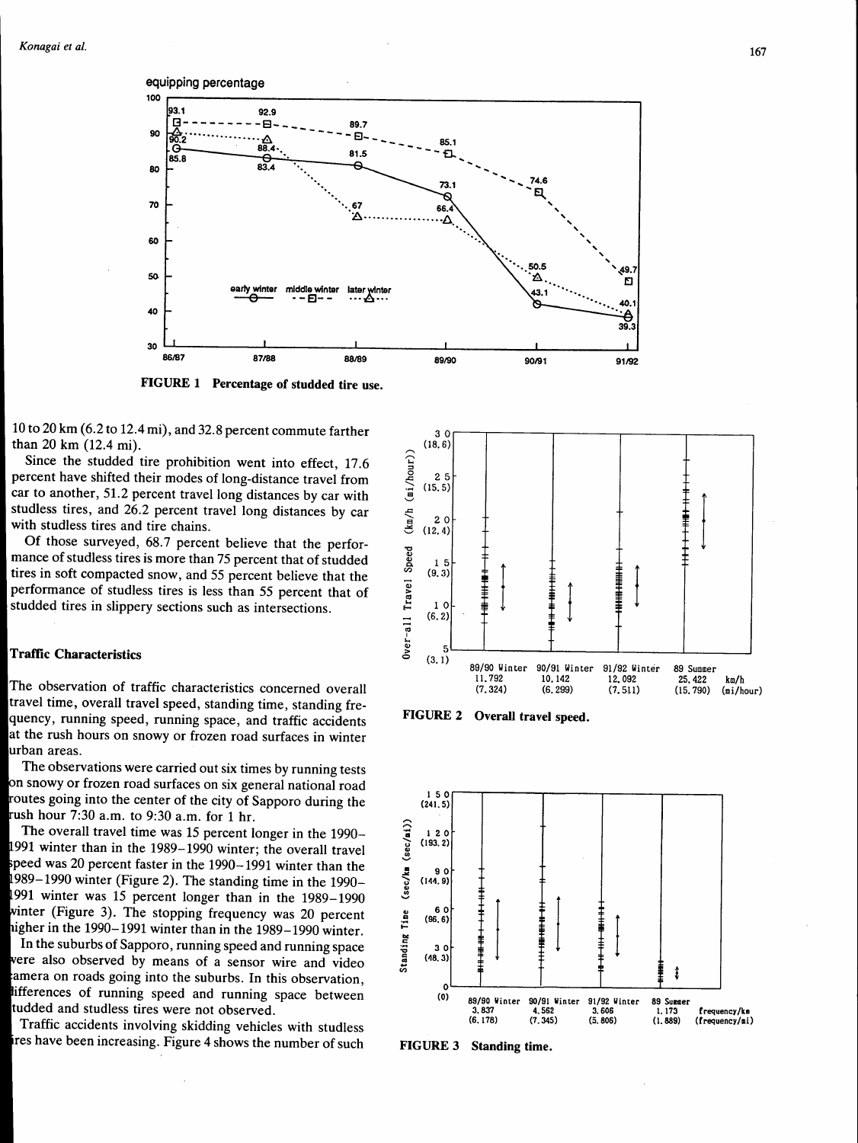

FIGURE 1 Percentage of studded tire use.

10 to 20 km (6.2 to 12.4 mi), and 32.8 percent commute farther than 20 km (12.4 mi).

Since the studded tire prohibition went into effect, 17.6 percent have shifted their modes of long-distance travel from car to another, 51.2 percent travel long distances by car with studless tires, and 26.2 percent travel long distances by car with studless tires and tire chains.

Of those surveyed, 68.7 percent believe that the performance of studless tires is more than 75 percent that of studded tires in soft compacted snow, and 55 percent believe that the performance of studless tires is less than 55 percent that of studded tires in slippery sections such as intersections.

# **Traffic Characteristics**

The observation of traffic characteristics concerned overall travel time, overall travel speed, standing time, standing frequency, running speed, running space, and traffic accidents at the rush hours on snowy or frozen road surfaces in winter urban areas.

The observations were carried out six times by running tests on snowy or frozen road surfaces on six general national road routes going into the center of the city of Sapporo during the rush hour 7:30 a.m. to 9:30 a.m. for 1 hr.

The overall travel time was 15 percent longer in the 1990-1991 winter than in the 1989–1990 winter; the overall travel speed was 20 percent faster in the  $1990-1991$  winter than the 1989–1990 winter (Figure 2). The standing time in the 1990– 1991 winter was 15 percent longer than in the 1989–1990 winter (Figure 3). The stopping frequency was 20 percent higher in the 1990-1991 winter than in the 1989-1990 winter.

In the suburbs of Sapporo, running speed and running space were also observed by means of a sensor wire and video amera on roads going into the suburbs. In this observation, lifferences of running speed and running space between tudded and studless tires were not observed.

Traffic accidents involving skidding vehicles with studless ires have been increasing. Figure 4 shows the number of such



FIGURE 2 Overall travel speed.



FIGURE 3 Standing time.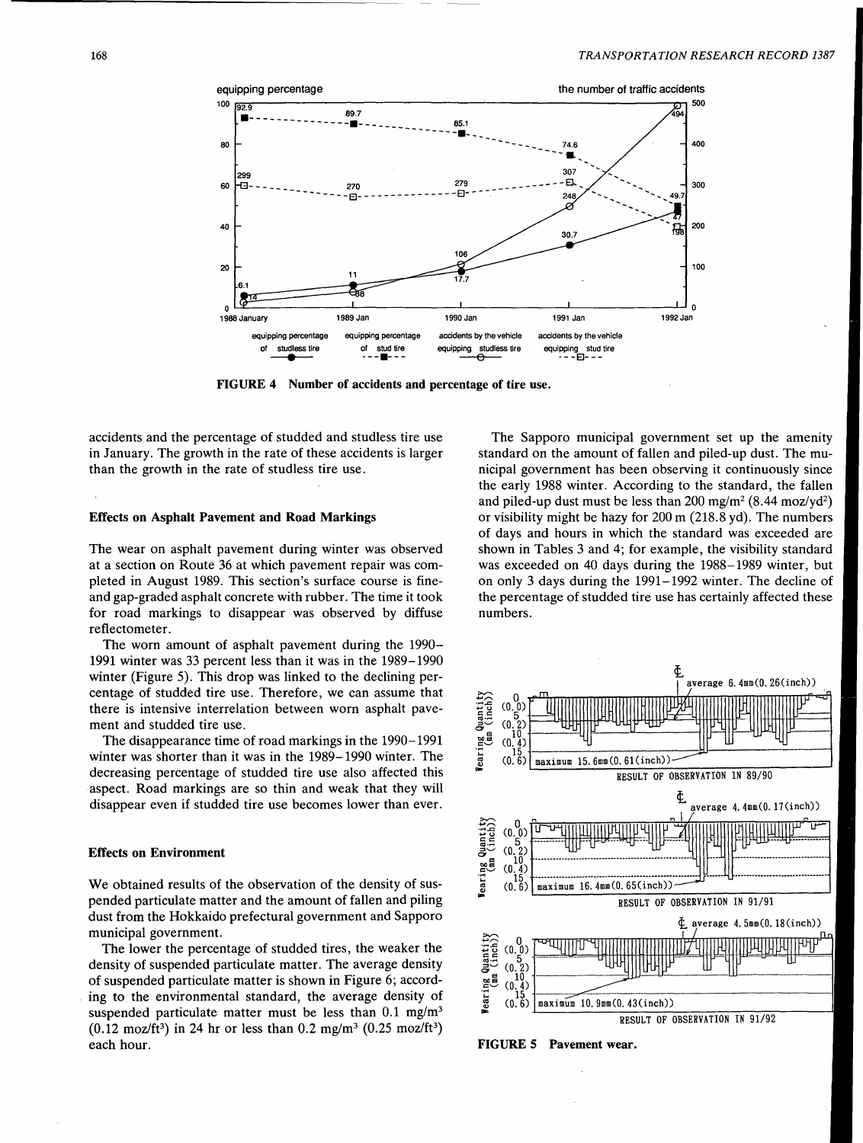

FIGURE 4 Number of accidents and percentage of tire use.

accidents and the percentage of studded and studless tire use in January. The growth in the rate of these accidents is larger than the growth in the rate of studless tire use.

#### Effects on Asphalt Pavement and Road Markings

The wear on asphalt pavement during winter was observed at a section on Route 36 at which pavement repair was completed in August 1989. This section's surface course is fineand gap-graded asphalt concrete with rubber. The time it took for road markings to disappear was observed by diffuse reflectometer.

The worn amount of asphalt pavement during the 1990- 1991 winter was 33 percent less than it was in the 1989-1990 winter (Figure 5). This drop was linked to the declining percentage of studded tire use. Therefore, we can assume that there is intensive interrelation between worn asphalt pavement and studded tire use.

The disappearance time of road markings in the 1990-1991 winter was shorter than it was in the 1989-1990 winter. The decreasing percentage of studded tire use also affected this aspect. Road markings are so thin and weak that they will disappear even if studded tire use becomes lower than ever.

### Effects on Environment

We obtained results of the observation of the density of suspended particulate matter and the amount of fallen and piling dust from the Hokkaido prefectural government and Sapporo municipal government.

The lower the percentage of studded tires, the weaker the density of suspended particulate matter. The average density of suspended particulate matter is shown in Figure 6; according to the environmental standard, the average density of suspended particulate matter must be less than  $0.1 \text{ mg/m}^3$  $(0.12 \text{ moz/ft}^3)$  in 24 hr or less than  $0.2 \text{ mg/m}^3$   $(0.25 \text{ moz/ft}^3)$ each hour.

The Sapporo municipal government set up the amenity standard on the amount of fallen and piled-up dust. The municipal government has been observing it continuously since the early 1988 winter. According to the standard, the fallen and piled-up dust must be less than  $200 \text{ mg/m}^2 (8.44 \text{ moz/yd}^2)$ or visibility might be hazy for 200 m (218.8 yd). The numbers of days and hours in which the standard was exceeded are shown in Tables 3 and 4; for example, the visibility standard was exceeded on 40 days during the 1988-1989 winter, but on only 3 days during the 1991-1992 winter. The decline of the percentage of studded tire use has certainly affected these numbers.